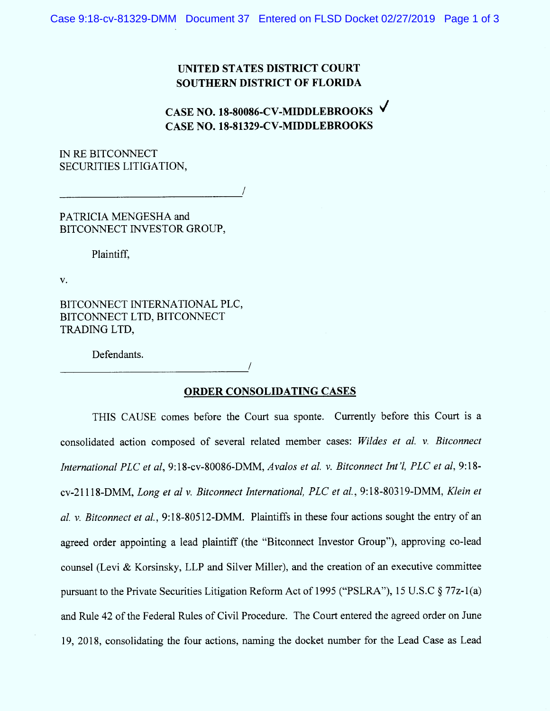## UNITED STATES DISTRICT COURT SOUTHERN DISTRICT OF FLORIDA

CASE NO. 18-80086-CV-MIDDLEBROOKS CASE NO. 18-81329-CV-MIDDLEBROOKS

IN RE BITCONNECT SECURITIES LITIGATION,

PATRICIA MENGESHA and BITCONNECT INVESTOR GROUP,

Plaintiff,

V.

BITCONNECT INTERNATIONAL PLC, BITCONNECT LTD, BITCONNECT TRADING LTD,

Defendants.

## ORDER CONSOLIDATING CASES

THIS CAUSE comes before the Court sua sponte. Currently before this Court is a consolidated action composed of several related member cases: Wildes et al. v. Bitconnect International PLC et al, 9:18-cv-80086-DMM, Avalos et al. v. Bitconnect Int'l, PLC et al, 9:18cv-21118-DMM, Long et al v. Bitconnect International, PLC et al., 9:18-80319-DMM, Klein et al. v. Bitconnect et al.,  $9:18-80512-DMM$ . Plaintiffs in these four actions sought the entry of an agreed order appointing a lead plaintiff (the "Bitconnect Investor Group"), approving co-lead counsel (Levi & Korsinsky, LLP and Silver Miller), and the creation of an executive committee pursuant to the Private Securities Litigation Reform Act of 1995 ("PSLRA"), 15 U.S.C  $\S 77z-1(a)$ and Rule 42 of the Federal Rules of Civil Procedure. The Court entered the agreed order on June 19, 2018, consolidating the four actions, naming the docket number for the Lead Case as Lead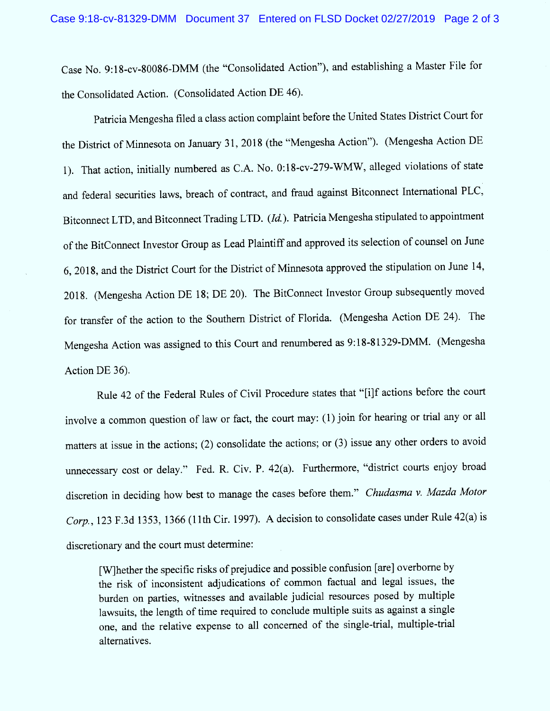Case No. 9:18-cv-80086-DMM (the "Consolidated Action"), and establishing a Master File for the Consolidated Action. (Consolidated Action DE 46).

Patricia Mengesha filed a class action complaint before the United States District Court for the District of Minnesota on January 31, 2018 (the "Mengesha Action"). (Mengesha Action DE 1). That action, initially numbered as C.A. No. 0:18-cv-279-W MW , alleged violations of state and federal securities laws, breach of contract, and fraud against Bitconnect International PLC, Bitconnect LTD, and Bitconnect Trading LTD. (Id.). Patricia Mengesha stipulated to appointment of the BitConnect Investor Group as Lead Plaintiff and approved its selection of counsel on June 6, 2018, and the District Court for the District of Minnesota approved the stipulation on June 14, 2018. (Mengesha Action DE 18; DE 20). The BitConnect Investor Group subsequently moved for transfer of the action to the Southern District of Florida. (Mengesha Action DE 24). The Mengesha Action was assigned to this Court and renumbered as 9:18-81329-DMM. (Mengesha Action DE 36).

Rule 42 of the Federal Rules of Civil Procedure states that "[i]f actions before the court involve a common question of law or fact, the court may: (1) join for hearing or trial any or all matters at issue in the actions; (2) consolidate the actions; or (3) issue any other orders to avoid unnecessary cost or delay." Fed. R. Civ. P. 42(a). Furthermore, "district courts enjoy broad discretion in deciding how best to manage the cases before them." Chudasma v. Mazda Motor Corp., 123 F.3d 1353, 1366 (11th Cir. 1997). A decision to consolidate cases under Rule 42(a) is discretionary and the court must determine:

[W]hether the specific risks of prejudice and possible confusion [are] overborne by the risk of inconsistent adjudications of common factual and legal issues, the burden on parties, witnesses and available judicial resources posed by multiple lawsuits, the length of time required to conclude multiple suits as against a single one, and the relative expense to all concerned of the single-trial, multiple-trial alternatives.